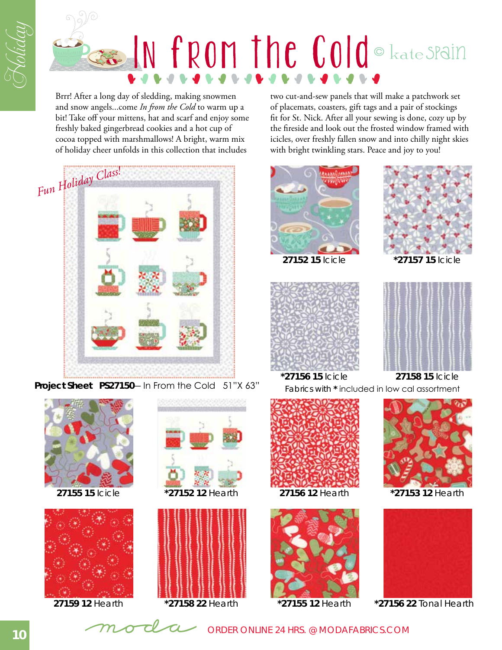## E IN FROM The Cold De Late SPain

Brrr! After a long day of sledding, making snowmen and snow angels...come *In from the Cold* to warm up a bit! Take off your mittens, hat and scarf and enjoy some freshly baked gingerbread cookies and a hot cup of cocoa topped with marshmallows! A bright, warm mix of holiday cheer unfolds in this collection that includes

*Fun Holiday Class!*

Project Sheet PS27150- In From the Cold 51"X 63"



**27155 15** Icicle



**27159 12** Hearth





**\*27158 22** Hearth

two cut-and-sew panels that will make a patchwork set of placemats, coasters, gift tags and a pair of stockings fit for St. Nick. After all your sewing is done, cozy up by the fireside and look out the frosted window framed with icicles, over freshly fallen snow and into chilly night skies with bright twinkling stars. Peace and joy to you!



**27152 15** Icicle



**\*27157 15** Icicle





Fabrics with **\*** included in low cal assortment





**\*27155 12** Hearth





**\*27156 22** Tonal Hearth

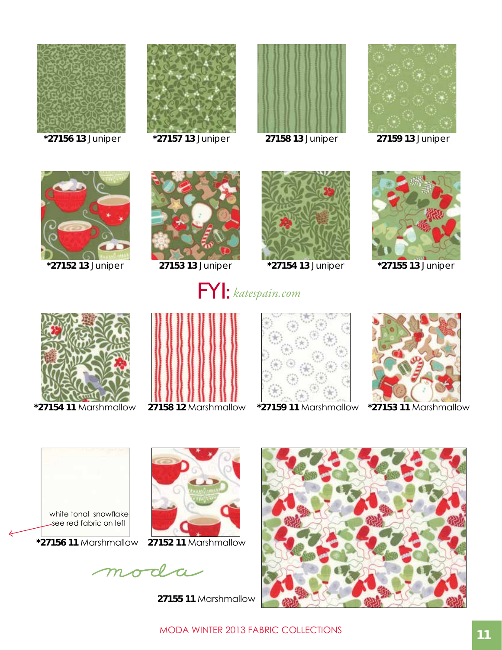

 **\*27156 13** Juniper



**\*27157 13** Juniper



**27158 13** Juniper



 **27159 13** Juniper



**\*27152 13** Juniper



**27153 13** Juniper





**\*27154 13** Juniper



**\*27155 13** Juniper



**\*27154 11** Marshmallow



**27158 12** Marshmallow



**\*27159 11** Marshmallow



**\*27153 11** Marshmallow



**\*27156 11** Marshmallow **27152 11** Marshmallow



moda

**27155 11** Marshmallow

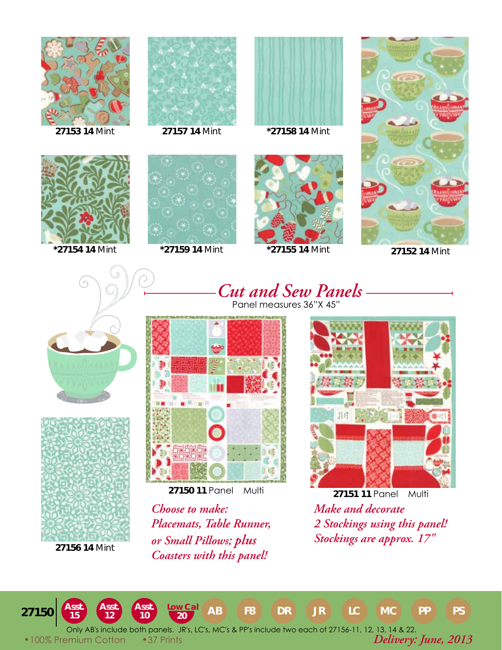

**27153 14** Mint



**27157 14** Mint



**\*27158 14** Mint







**\*27154 14** Mint

Ą









**27156 14** Mint

**15**



*Choose to make: Placemats, Table Runner, or Small Pillows; plus Coasters with this panel!*

**10 20**





**27150 11** Panel Multi **27151 11** Panel Multi *Make and decorate 2 Stockings using this panel! Stockings are approx. 17"*





Only AB's include both panels. JR's, LC's, MC's & PP's include two each of 27156-11, 12, 13, 14 & 22.

•100% Premium Cotton •37 Prints *Delivery: June, 2013*